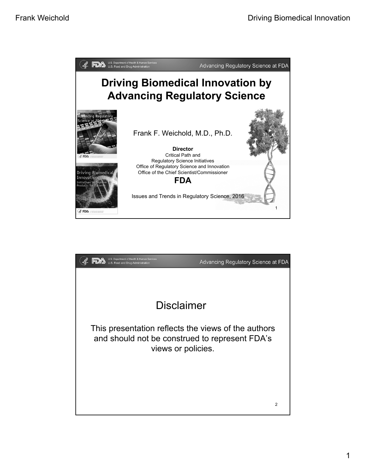

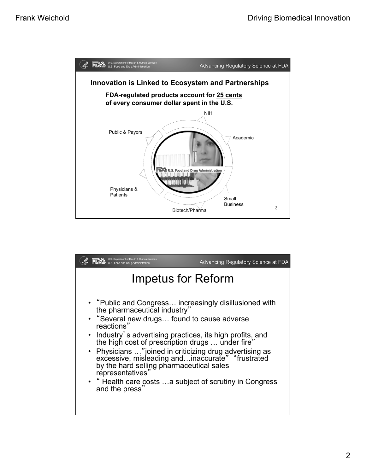

| U.S. Department of Health & Human Services<br>Food and Drug Administration                                                                                                                                                                                                                                                                                                                                                                                                                                                      | Advancing Regulatory Science at FDA |  |
|---------------------------------------------------------------------------------------------------------------------------------------------------------------------------------------------------------------------------------------------------------------------------------------------------------------------------------------------------------------------------------------------------------------------------------------------------------------------------------------------------------------------------------|-------------------------------------|--|
| Impetus for Reform                                                                                                                                                                                                                                                                                                                                                                                                                                                                                                              |                                     |  |
| • "Public and Congress increasingly disillusioned with<br>the pharmaceutical industry"<br>• "Several new drugs found to cause adverse<br>reactions"<br>• Industry's advertising practices, its high profits, and<br>the high cost of prescription drugs  under fire"<br>• Physicians "joined in criticizing drug advertising as<br>excessive, misleading andinaccurate" "frustrated<br>by the hard selling pharmaceutical sales<br>representatives"<br>• "Health care costs a subject of scrutiny in Congress<br>and the press" |                                     |  |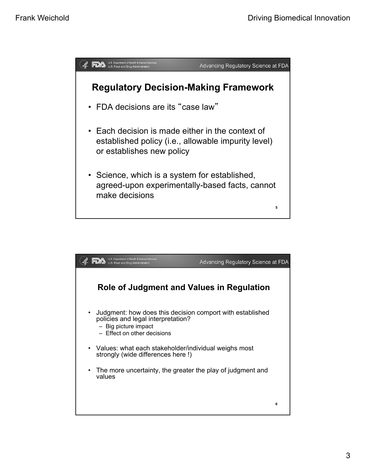

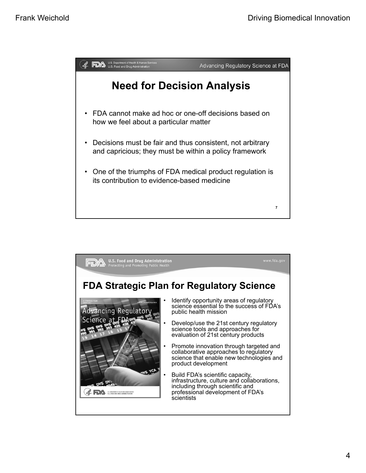

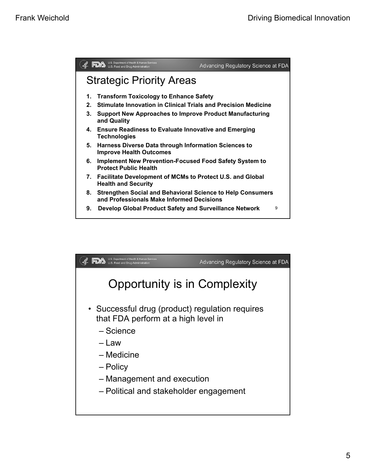

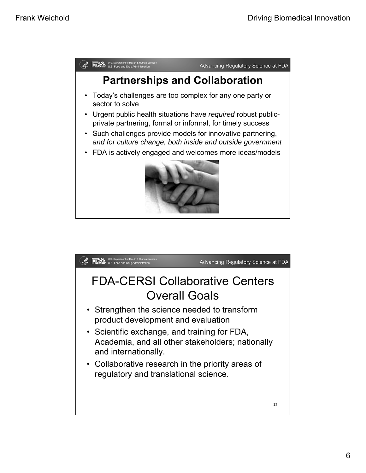

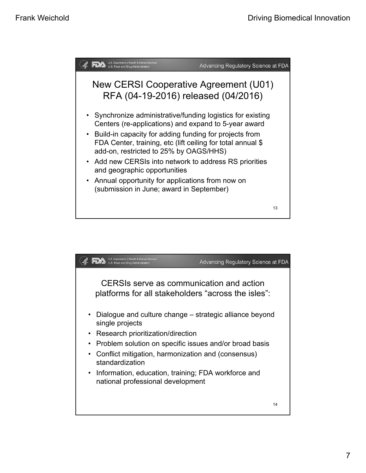

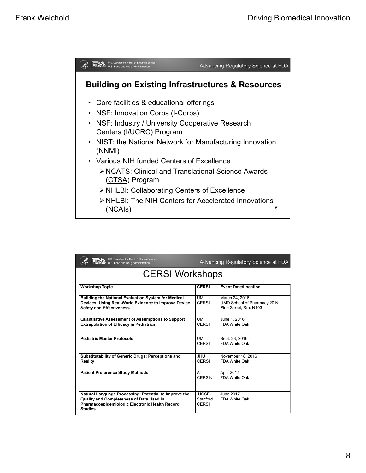

| U.S. Department of Health & Human Services<br>U.S. Food and Drug Administration                                                                                       | Advancing Regulatory Science at FDA |                                                                         |  |
|-----------------------------------------------------------------------------------------------------------------------------------------------------------------------|-------------------------------------|-------------------------------------------------------------------------|--|
| <b>CERSI Workshops</b>                                                                                                                                                |                                     |                                                                         |  |
| <b>Workshop Topic</b>                                                                                                                                                 | <b>CERSI</b>                        | <b>Event Date/Location</b>                                              |  |
| Building the National Evaluation System for Medical<br>Devices: Using Real-World Evidence to Improve Device<br><b>Safety and Effectiveness</b>                        | UM<br><b>CERSI</b>                  | March 24, 2016<br>UMD School of Pharmacy 20 N.<br>Pine Street, Rm. N103 |  |
| <b>Quantitative Assessment of Assumptions to Support</b><br><b>Extrapolation of Efficacy in Pediatrics</b>                                                            | UM<br>CERSI                         | June 1, 2016<br><b>FDA White Oak</b>                                    |  |
| <b>Pediatric Master Protocols</b>                                                                                                                                     | UM<br>CERSI                         | Sept. 23, 2016<br>FDA White Oak                                         |  |
| <b>Substitutability of Generic Drugs: Perceptions and</b><br><b>Reality</b>                                                                                           | UHU.<br>CERSI                       | November 18, 2016<br>FDA White Oak                                      |  |
| <b>Patient Preference Study Methods</b>                                                                                                                               | All<br><b>CERSIS</b>                | April 2017<br>FDA White Oak                                             |  |
| Natural Language Processing: Potential to Improve the<br>Quality and Completeness of Data Used in<br>Pharmacoepidemiologic Electronic Health Record<br><b>Studies</b> | UCSF-<br>Stanford<br><b>CERSI</b>   | June 2017<br>FDA White Oak                                              |  |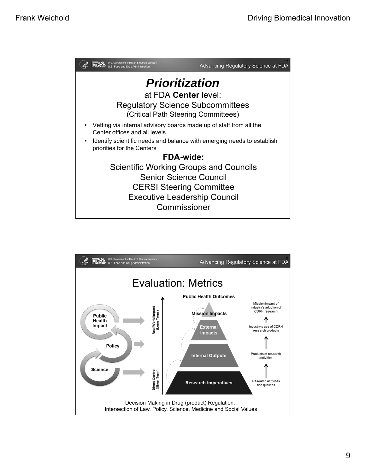

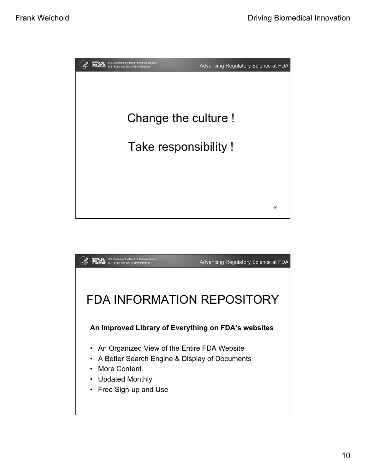

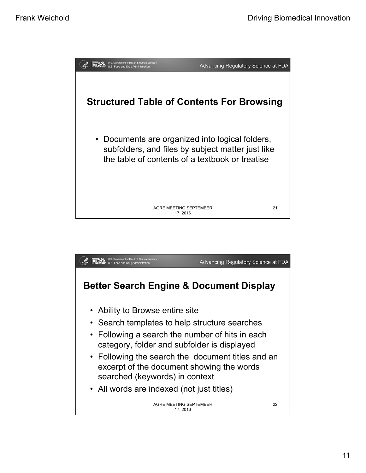

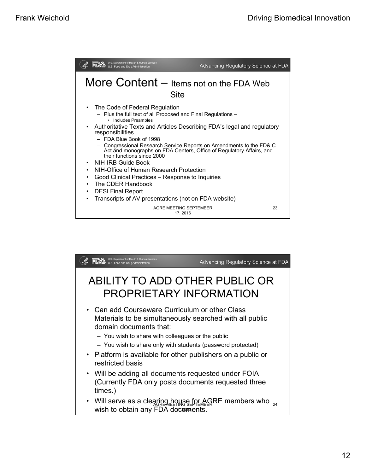| U.S. Department of Health & Human Services<br>U.S. Food and Drug Administration                                                                                                                                                                                                                                                                                                                                                                                                                                                                                                                                                                                          | Advancing Regulatory Science at FDA |
|--------------------------------------------------------------------------------------------------------------------------------------------------------------------------------------------------------------------------------------------------------------------------------------------------------------------------------------------------------------------------------------------------------------------------------------------------------------------------------------------------------------------------------------------------------------------------------------------------------------------------------------------------------------------------|-------------------------------------|
| More Content - Items not on the FDA Web<br><b>Site</b>                                                                                                                                                                                                                                                                                                                                                                                                                                                                                                                                                                                                                   |                                     |
| The Code of Federal Regulation<br>$\bullet$<br>- Plus the full text of all Proposed and Final Regulations -<br>• Includes Preambles<br>• Authoritative Texts and Articles Describing FDA's legal and regulatory<br>responsibilities<br>- FDA Blue Book of 1998<br>- Congressional Research Service Reports on Amendments to the FD& C<br>Act and monographs on FDA Centers, Office of Regulatory Affairs, and<br>their functions since 2000<br>NIH-IRB Guide Book<br>NIH-Office of Human Research Protection<br>Good Clinical Practices – Response to Inquiries<br>The CDER Handbook<br><b>DESI Final Report</b><br>Transcripts of AV presentations (not on FDA website) |                                     |
| AGRE MEETING SEPTEMBER<br>17, 2016                                                                                                                                                                                                                                                                                                                                                                                                                                                                                                                                                                                                                                       | 23                                  |

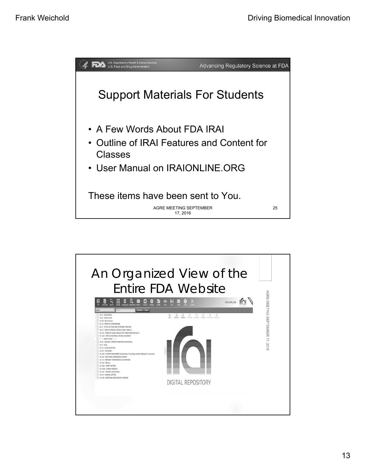